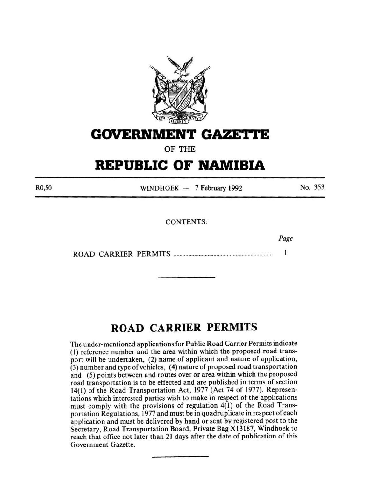

### **GOVERNMENT GAZETtE**

**OF THE** 

## **REPUBLIC OF NAMIBIA**

R0,50

WINDHOEK - 7 February 1992

No. 353

*Page* 

CONTENTS:

ROAD CARRIER PERMITS ................................................................. .  $\mathbf{1}$ 

### **ROAD CARRIER PERMITS**

The under-mentioned applications for Public Road Carrier Permits indicate ( 1) reference number and the area within which the proposed road transport will be undertaken, (2) name of applicant and nature of application, (3) number and type of vehicles, ( 4) nature of proposed road transportation and (5) points between and routes over or area within which the proposed road transportation is to be effected and are published in terms of section 14(1) of the Road Transportation Act, 1977 (Act 74 of 1977). Representations which interested parties wish to make in respect of the applications must comply with the provisions of regulation 4(1) of the Road Transportation Regulations, 1977 and must be in quadruplicate in respect of each application and must be delivered by hand or sent by registered post to the Secretary, Road Transportation Board, Private Bag X 13187, Windhoek to reach that office not later than 21 days after the date of publication of this Government Gazette.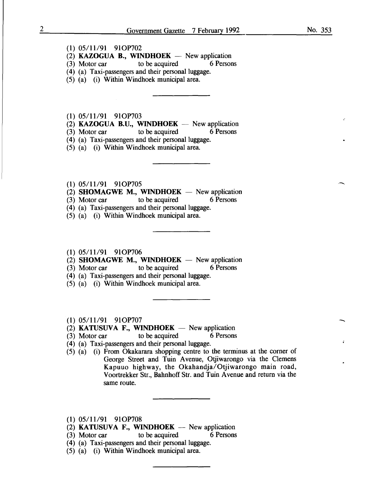#### (1) 05/11/91 91OP702

- (2) **KAZOGUA B., WINDHOEK**  $-$  New application<br>(3) Motor car to be acquired 6 Persons
- to be acquired
- (4) (a) Taxi-passengers and their personal luggage.
- (5) (a) (i) Within Windhoek municipal area.

(1) 05/11/91 910P703

(2) KAZOGUA B.U., WINDHOEK - New application<br>(3) Motor car to be acquired 6 Persons

 $(3)$  Motor car

(4) (a) Taxi-passengers and their personal luggage.

(5) (a) (i) Within Windhoek municipal area.

- (1) 05/11/91 91OP705
- (2) SHOMAGWE M., WINDHOEK  $-$  New application
- (3) Motor car to be acquired 6 Persons
- (4) (a) Taxi-passengers and their personal luggage.
- (5) (a) (i) Within Windhoek municipal area.

#### (1) 05/11/91 910P706

- (2) SHOMAGWE M., WINDHOEK  $-$  New application
- (3) Motor car to be acquired 6 Persons
- (4) (a) Taxi-passengers and their personal luggage.
- (5) (a) (i) Within Windhoek municipal area.
- (1) 05/11/91 910P707
- (2) KATUSUVA F., WINDHOEK  $-$  New application
- (3) Motor car to be acquired 6 Persons
- (4) (a) Taxi-passengers and their personal luggage.
- (5) (a) (i) From Okakarara shopping centre to the terminus at the corner of George Street and Tuin Avenue, Otjiwarongo via the Clemens Kapuuo highway, the Okahandja/Otjiwarongo main road, Voortrekker Str., Bahnhoff Str. and Tuin Avenue and return via the same route.
- $(1)$  05/11/91 91OP708
- (2) KATUSUVA F., WINDHOEK  $-$  New application
- (3) Motor car to be acquired 6 Persons
- (4) (a) Taxi-passengers and their personal luggage.
- (5) (a) (i) Within Windhoek municipal area.

-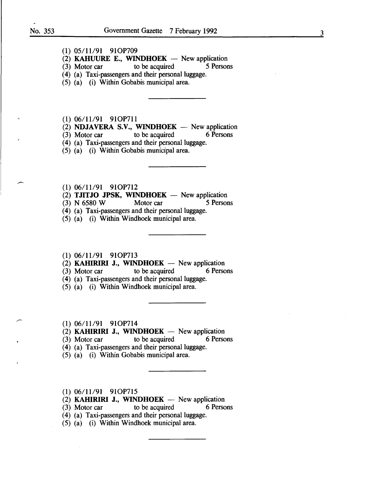- (1) 05/11/91 910P709
- (2) KAHUURE E., WINDHOEK New application<br>
(3) Motor car to be acquired 5 Persons
- $(3)$  Motor car
- ( 4) (a) Taxi-passengers and their personal luggage.
- (5) (a) (i) Within Gobabis municipal area.
- (1) 06/11/91 91OP711
- (2) **NDJAVERA S.V., WINDHOEK**  $-$  New application (3) Motor car to be acquired 6 Persons
- $(3)$  Motor car to be acquired
- (4) (a) Taxi-passengers and their personal luggage.
- (5) (a) (i) Within Gobabis municipal area.
- (1) 06/11/91 910P712
- (2) TJITJO JPSK, WINDHOEK  $-$  New application
- (3) N 6580 W Motor car 5 Persons
- (4) (a) Taxi-passengers and their personal luggage.
- (5) (a) (i) Within Windhoek municipal area.
- (1) 06/11/91 910P713
- (2) **KAHIRIRI J., WINDHOEK** New application (3) Motor car to be acquired 6 Person
- (3) Motor car to be acquired 6 Persons
- (4) (a) Taxi-passengers and their personal luggage.
- (5) (a) (i) Within Windhoek municipal area.
- (1) 06/11/91 910P714
- (2) **KAHIRIRI J., WINDHOEK** New application<br>(3) Motor car to be acquired 6 Persons
- (3) Motor car to be acquired
- (4) (a) Taxi-passengers and their personal luggage.
- (5) (a) (i) Within Gobabis municipal area.
- (1) 06/11/91 910P715
- (2) **KAHIRIRI J., WINDHOEK** New application<br>(3) Motor car to be acquired 6 Persons
- $(3)$  Motor car to be acquired
- (4) (a) Taxi-passengers and their personal luggage.
- (5) (a) (i) Within Windhoek municipal area.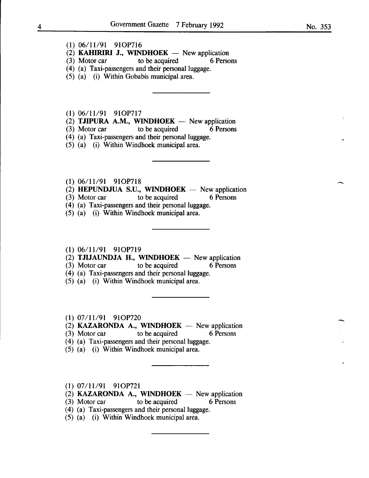- **(1)** 06/11/91 910P716
- $(2)$  **KAHIRIRI J., WINDHOEK** New application
- (3) Motor car to be acquired 6 Persons
- (4) (a) Taxi-passengers and their personal luggage.
- (5) (a) (i) Within Gobabis municipal area.
- **(1)** 06/11/91 910P717
- $(2)$  **TJIPURA A.M., WINDHOEK** New application
- (3) Motor car to be acquired 6 Persons
- (4) (a) Taxi-passengers and their personal luggage.
- (5) (a) (i) Within Windhoek municipal area.
- (1) 06/11/91 910P718
- $(2)$  **HEPUNDJUA S.U., WINDHOEK** New application
- (3) Motor car to be acquired 6 Persons
- (4) (a) Taxi-passengers and their personal luggage.
- (5) (a) (i) Within Windhoek municipal area.

#### **(1)** 06/11/91 910P719

- (2) **TJIJAUNDJA H., WINDHOEK**  $-$  New application
- (3) Motor car to be acquired 6 Persons
- (4) (a) Taxi-passengers and their personal luggage.
- (5) (a) (i) Within Windhoek municipal area.
- **(1)** 07/11/91 910P720
- $(2)$  **KAZARONDA A., WINDHOEK** New application
- (3) Motor car to be acquired 6 Persons
- (4) (a) Taxi-passengers and their personal luggage.
- (5) (a) (i) Within Windhoek municipal area.
- (1) 07/11/91 910P721
- (2) **KAZARONDA A., WINDHOEK**  $-$  New application
- (3) Motor car to be acquired 6 Persons
- (4) (a) Taxi-passengers and their personal luggage.
- (5) (a) (i) Within Windhoek municipal area.

-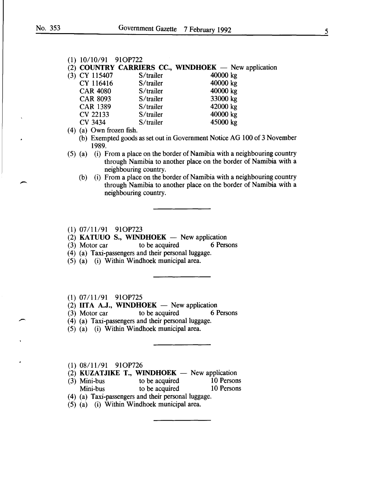-

-

(1) 10/10/91 910P722

# (2) COUNTRY CARRIERS CC., WINDHOEK - New application (3) CY 115407 S/trailer 40000 kg

- (3) CY 115407 S/trailer 40000 kg<br>CY 116416 S/trailer 40000 kg CY 116416 S/trailer 40000 kg<br>CAR 4080 S/trailer 40000 kg CAR 4080 S/trailer 10000 kg<br>CAR 8093 S/trailer 133000 kg CAR 8093 S/trailer 33000 kg<br>CAR 1389 S/trailer 42000 kg CAR 1389 S/trailer 12000 kg<br>CV 22133 S/trailer 10000 kg CV 22133 S/trailer 40000 kg<br>CV 3434 S/trailer 45000 kg CV 3434
- $(4)$  (a) Own frozen fish.
	- (b) Exempted goods as set out in Government Notice AG 100 of 3 November 1989.
- (5) (a) (i) From a place on the border of Namibia with a neighbouring country through Namibia to another place on the border of Namibia with a neighbouring country.
	- (b) (i) From a place on the border of Namibia with a neighbouring country through Namibia to another place on the border of Namibia with a neighbouring country.

#### (1) 07/11/91 910P723

- (2) **KATUUO S., WINDHOEK** New application<br>(3) Motor car to be acquired 6 Persons
- $(3)$  Motor car to be acquired
- (4) (a) Taxi-passengers and their personal luggage.
- (5) (a) (i) Within Windhoek municipal area.

#### (1) 07111/91 910P725

- (2) IITA A.J., WINDHOEK  $-$  New application
- (3) Motor car to be acquired 6 Persons
- ( 4) (a) Taxi-passengers and their personal luggage.
- (5) (a) (i) Within Windhoek municipal area.

#### (1) 08/11/91 910P726

- (2) KUZATJIKE T., WINDHOEK  $-$  New application
- (3) Mini-bus to be acquired 10 Persons Mini-bus to be acquired 10 Persons
- (4) (a) Taxi-passengers and their personal luggage.
- (5) (a) (i) Within Windhoek municipal area.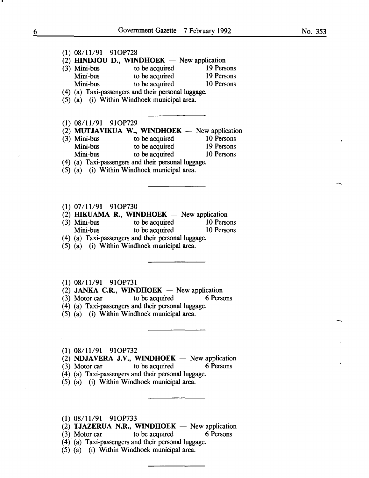#### (1) 08/11/91 91OP728

(2) HINDJOU D., WINDHOEK  $-$  New application

| $(3)$ Mini-bus | to be acquired                                                              | 19 Persons |
|----------------|-----------------------------------------------------------------------------|------------|
| Mini-bus       | to be acquired                                                              | 19 Persons |
| Mini-bus       | to be acquired                                                              | 10 Persons |
|                | $745.75.$ The state correspondent of the second contract the correspondence |            |

- (4) (a) Taxi-passengers and their personal luggage.
- (5) (a) (i) Within Windhoek municipal area.

#### (1) 08/11/91 910P729

# (2) **MUTJAVIKUA W., WINDHOEK** - New application (3) Mini-bus to be acquired 10 Persons

- (3) Mini-bus to be acquired 10 Persons<br>
Mini-bus to be acquired 19 Persons Mini-bus to be acquired 19 Persons<br>
Mini-bus to be acquired 10 Persons to be acquired
- (4) (a) Taxi-passengers and their personal luggage.
- (5) (a) (i) Within Windhoek municipal area.

#### (1) 07/11/91 91OP730

- (2) HIKUAMA R., WINDHOEK  $-$  New application
- (3) Mini-bus to be acquired 10 Persons Mini-bus to be acquired 10 Persons
- (4) (a) Taxi-passengers and their personal luggage.
- (5) (a) (i) Within Windhoek municipal area.

#### (1) 08/11/91 910P731

- (2) JANKA C.R., WINDHOEK  $-$  New application
- (3) Motor car to be acquired 6 Persons
- (4) (a) Taxi-passengers and their personal luggage.
- (5) (a) (i) Within Windhoek municipal area.

#### (1) 08/11/91 91OP732

(2) **NDJAVERA J.V., WINDHOEK**  $-$  New application (3) Motor car to be acquired 6 Persons

- (3) Motor car to be acquired 6 Persons
- (4) (a) Taxi-passengers and their personal luggage.
- (5) (a) (i) Within Windhoek municipal area.
- (1) 08/11/91 910P733
- (2) TJAZERUA N.R., WINDHOEK  $-$  New application
- (3) Motor car to be acquired 6 Persons
- $(4)$   $(a)$  Taxi-passengers and their personal luggage.
- (5) (a) (i) Within Windhoek municipal area.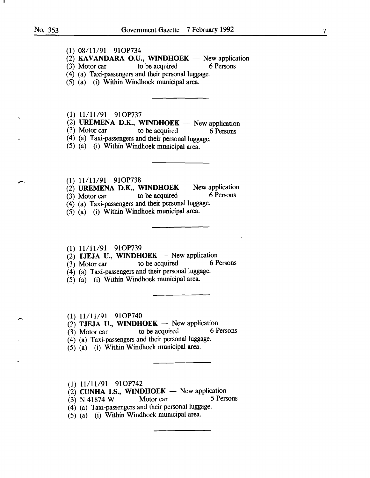- (1) 08/11/91 910P734
- (2) **KAVANDARA O.U., WINDHOEK** New application (3) Motor car to be acquired 6 Persons
- to be acquired
- ( 4) (a) Taxi-passengers and their personal luggage.
- (5) (a) (i) Within Windhoek municipal area.
- (1) 11/11/91 91OP737
- (2) UREMENA D.K., WINDHOEK  $-$  New application (3) Motor car to be acquired 6 Persons
- to be acquired  $\overline{6}$  Persons
- (4) (a) Taxi-passengers and their personal luggage.
- (5) (a) (i) Within Windhoek municipal area.
- 
- $(1)$  11/11/91 91OP738<br>
(2) UREMENA D.K., WINDHOEK New application<br>
(3) Mater and the he agained 6 Persons
	- $(3)$  Motor car to be acquired 6 Persons
	- (4) (a) Taxi-passengers and their personal luggage.
	- (5) (a) (i) Within Windhoek municipal area.
	- (1) 11/11/91 910P739
	- (2) **TJEJA U., WINDHOEK** New application<br>(3) Motor car to be acquired 6 Persons
	- $(3)$  Motor car to be acquired
	- (4) (a) Taxi-passengers and their personal luggage.
	- (5) (a) (i) Within Windhoek municipal area.
	- (1) 11/11/91 910P740
	- (2) **TJEJA U., WINDHOEK** New application<br>(3) Motor car to be acquired 6 Persons
	- $(3)$  Motor car
	- (4) (a) Taxi-passengers and their personal luggage.
	- (5) (a) (i) Within Windhoek municipal area.
	- (1) 11/11/91 910P742
	- (2) CUNHA I.S., WINDHOEK New application<br>
	(3) N 41874 W Motor car 5 Persons
	- $(3)$  N 41874 W Motor car
	- (4) (a) Taxi-passengers and their personal luggage.
	- (5) (a) (i) Within Windhoek municipal area.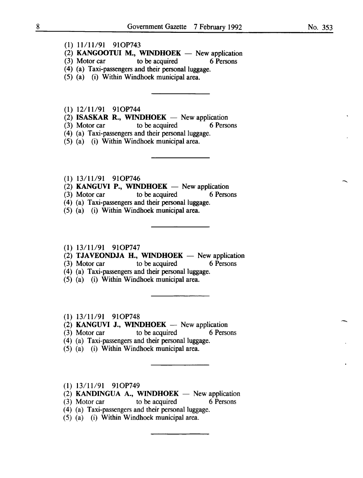- $(1)$   $11/11/91$  91OP743
- (2) KANGOOTUI M., WINDHOEK  $-$  New application
- (3) Motor car to be acquired 6 Persons
- (4) (a) Taxi-passengers and their personal luggage.
- (5) (a) (i) Within Windhoek municipal area.

 $(1)$  12/11/91 91OP744

- (2) ISASKAR R., WINDHOEK  $-$  New application
- (3) Motor car to be acquired 6 Persons
- (4) (a) Taxi-passengers and their personal luggage.
- (5) (a) (i) Within Windhoek municipal area.
- $(1)$  13/11/91 91OP746
- (2) KANGUVI P., WINDHOEK  $-$  New application
- (3) Motor car to be acquired 6 Persons
- (4) (a) Taxi-passengers and their personal luggage.
- (5) (a) (i) Within Windhoek municipal area.

#### $(1)$  13/11/91 91OP747

- $(2)$  TJAVEONDJA H., WINDHOEK New application
- (3) Motor car to be acquired 6 Persons
- (4) (a) Taxi-passengers and their personal luggage.
- (5) (a) (i) Within Windhoek municipal area.
- $(1)$  13/11/91 91OP748
- (2) **KANGUVI J., WINDHOEK** New application (3) Motor car to be acquired 6 Persons
	-
- (4) (a) Taxi-passengers and their personal luggage.
- (5) (a) (i) Within Windhoek municipal area.
- $(1)$  13/11/91 91OP749
- $(2)$  KANDINGUA A., WINDHOEK New application
- (3) Motor car to be acquired 6 Persons
- (4) (a) Taxi-passengers and their personal luggage.
- (5) (a) (i) Within Windhoek municipal area.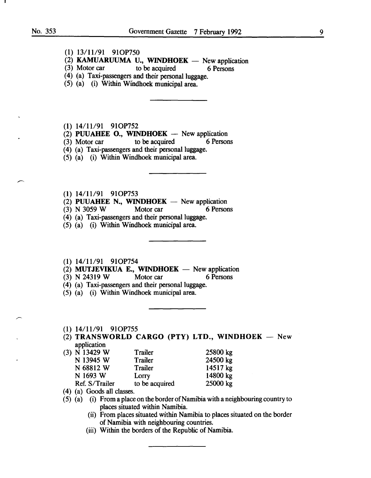- (1) 13/11/91 910P750
- (2) **KAMUARUUMA U., WINDHOEK** New application (3) Motor car to be acquired 6 Persons
- to be acquired 6 Persons
- (4) (a) Taxi-passengers and their personal luggage.
- (5) (a) (i) Within Wmdhoek municipal area.

(1) 14/11/91 910P752

- (2) PUUAHEE O., WINDHOEK New application<br>
(3) Motor car to be acquired 6 Persons
- $(3)$  Motor car to be acquired
- (4) (a) Taxi-passengers and their personal luggage.
- (5) (a) (i) Within Windhoek municipal area.
- (1) 14/11/91 910P753
- (2) PUUAHEE N., WINDHOEK  $-$  New application
- (3) N 3059 W Motor car 6 Persons
- (4) (a) Taxi-passengers and their personal luggage.
- (5) (a) (i) Within Windhoek municipal area.
- (1) 14/11/91 91OP754
- (2) MUTJEVIKUA E., WINDHOEK  $-$  New application
- (3) N 24319 W Motor car 6 Persons
- (4) (a) Taxi-passengers and their personal luggage.
- (5) (a) (i) Within Windhoek municipal area.
- (1) 14/11/91 91OP755
- $(2)$  TRANSWORLD CARGO (PTY) LTD., WINDHOEK New application
- (3) N 13429 W Trailer N 13945 W Trailer N 68812 W Trailer N 1693 W Lorry Ref. S/Trailer to be acquired 25800 kg 24500 kg 14517 kg 14800 kg 25000 kg
- ( 4) (a) Goods all classes.
- (5) (a) (i) From a place on the border of Namibia with a neighbouring country to places situated within Namibia.
	- (ii) From places situated within Namibia to places situated on the border of Namibia with neighbouring countries.
	- (iii) Within the borders of the Republic of Namibia.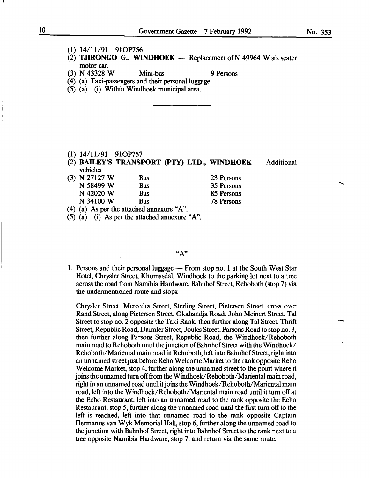-

- (1) 14/11/91 910P756
- (2) TJIRONGO G., WINDHOEK  $-$  Replacement of N 49964 W six seater motor car.
- (3) N 43328 W Mini-bus 9 Persons
- (4) (a) Taxi-passengers and their personal luggage.
- (5) (a) (i) Within Windhoek municipal area.

- (1) 14/11/91 910P757
- (2) BAILEY'S TRANSPORT (PTY) LTD., WINDHOEK  $-$  Additional vehicles.
- (3) N 27127 W Bus N 58499 W Bus<br>N 42020 W Bus  $N$  42020 W N 34100 W Bus 23 Persons 35 Persons 85 Persons 78 Persons

(4) (a) As per the attached annexure "A".

(5) (a) (i) As per the attached annexure "A".

#### "A"

1. Persons and their personal luggage - From stop no. 1 at the South West Star Hotel, Chrysler Street, Khomasdal, Windhoek to the parking lot next to a tree across the road from Namibia Hardware, Bahnhof Street, Rehoboth (stop 7) via the undermentioned route and stops:

Chrysler Street, Mercedes Street, Sterling Street, Pietersen Street, cross over Rand Street, along Pietersen Street, Okahandja Road, John Meinert Street, Tal Street to stop no. 2 opposite the Taxi Rank, then further along Tal Street, Thrift Street, Republic Road, Daimler Street, Joules Street, Parsons Road to stop no. 3, then further along Parsons Street, Republic Road, the Windhoek/Rehoboth main road to Rehoboth until the junction of Bahnhof Street with the Windhoek/ Rehoboth/Mariental main road in Rehoboth, left into Bahnhof Street, right into an unnamed street just before Reho Welcome Market to the rank opposite Reho Welcome Market, stop 4, further along the unnamed street to the point where it joins the unnamed tum off from the Windhoek/Rehoboth/Mariental main road, right in an unnamed road until it joins the Windhoek/Rehoboth/Mariental main road, left into the Windhoek/Rehoboth/Mariental main road until it tum off at the Echo Restaurant, left into an unnamed road to the rank opposite the Echo Restaurant, stop 5, further along the unnamed road until the first tum off to the left is reached, left into that unnamed road to the rank opposite Captain Hermanus van Wyk Memorial Hall, stop 6, further along the unnamed road to the junction with Bahnhof Street, right into Bahnhof Street to the rank next to a tree opposite Namibia Hardware, stop 7, and return via the same route.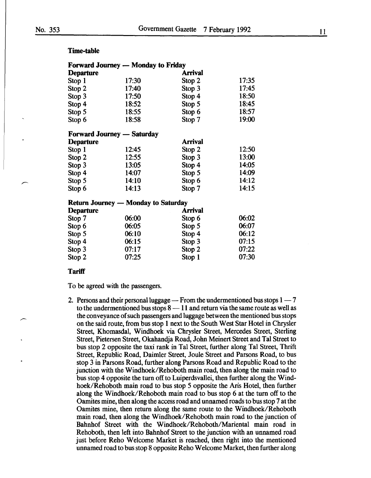#### Time-table

|                  | <b>Forward Journey - Monday to Friday</b>  |                |       |
|------------------|--------------------------------------------|----------------|-------|
| <b>Departure</b> |                                            | <b>Arrival</b> |       |
| Stop 1           | 17:30                                      | Stop 2         | 17:35 |
| Stop 2           | 17:40                                      | Stop 3         | 17:45 |
| Stop 3           | 17:50                                      | Stop 4         | 18:50 |
| Stop 4           | 18:52                                      | Stop 5         | 18:45 |
| Stop 5           | 18:55                                      | Stop 6         | 18:57 |
| Stop 6           | 18:58                                      | Stop 7         | 19:00 |
|                  | <b>Forward Journey — Saturday</b>          |                |       |
| <b>Departure</b> |                                            | <b>Arrival</b> |       |
| Stop 1           | 12:45                                      | Stop 2         | 12:50 |
| Stop 2           | 12:55                                      | Stop 3         | 13:00 |
| Stop 3           | 13:05                                      | Stop 4         | 14:05 |
| Stop 4           | 14:07                                      | Stop 5         | 14:09 |
| Stop 5           | 14:10                                      | Stop 6         | 14:12 |
| Stop 6           | 14:13                                      | Stop 7         | 14:15 |
|                  | <b>Return Journey — Monday to Saturday</b> |                |       |
| <b>Departure</b> |                                            | <b>Arrival</b> |       |
| Stop 7           | 06:00                                      | Stop 6         | 06:02 |
| Stop 6           | 06:05                                      | Stop 5         | 06:07 |
| Stop 5           | 06:10                                      | Stop 4         | 06:12 |
| Stop 4           | 06:15                                      | Stop 3         | 07:15 |
| Stop 3           | 07:17                                      | Stop 2         | 07:22 |
| Stop 2           | 07:25                                      | Stop 1         | 07:30 |
|                  |                                            |                |       |

#### **Tariff**

To be agreed with the passengers.

2. Persons and their personal luggage  $-$  From the undermentioned bus stops  $1 - 7$ to the undermentioned bus stops  $8 - 11$  and return via the same route as well as the conveyance of such passengers and luggage between the mentioned bus stops on the said route, from bus stop 1 next to the South West Star Hotel in Chrysler Street, Khomasdal, Windhoek via Chrysler Street, Mercedes Street, Sterling Street, Pietersen Street, Okahandja Road, John Meinert Street and Tal Street to bus stop 2 opposite the taxi rank in Tal Street, further along Tal Street, Thrift Street, Republic Road, Daimler Street, Joule Street and Parsons Road, to bus stop 3 in Parsons Road, further along Parsons Road and Republic Road to the junction with the Windhoek/Rehoboth main road, then along the main road to bus stop 4 opposite the tum off to Luiperdsvallei, then further along the Windhoek/Rehoboth main road to bus stop 5 opposite the Aris Hotel, then further along the Windhoek/Rehoboth main road to bus stop 6 at the tum off to the Oamites mine, then along the access road and unnamed roads to bus stop 7 at the Oamites mine, then return along the same route to the Windhoek/Rehoboth main road, then along the Windhoek/Rehoboth main road to the junction of Bahnhof Street with the Windhoek/Rehoboth/Mariental main road in Rehoboth, then left into Bahnhof Street to the junction with an unnamed road just before Reho Welcome Market is reached, then right into the mentioned unnamed road to bus stop 8 opposite Reho Welcome Market, then further along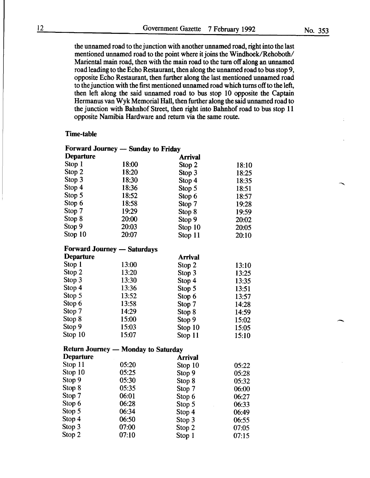the unnamed road to the junction with another unnamed road, right into the last mentioned unnamed road to the point where it joins the Windhoek/Rehoboth/ Mariental main road, then with the main road to the tum off along an unnamed road leading to the Echo Restaurant, then along the unnamed road to bus stop 9, opposite Echo Restaurant, then further along the last mentioned unnamed road to the junction with the first mentioned unnamed road which turns off to the left, then left along the said unnamed road to bus stop 10 opposite the Captain Hermanus van Wyk Memorial Hall, then further along the said unnamed road to the junction with Bahnhof Street, then right into Bahnhof road to bus stop 11 opposite Namibia Hardware and return via the same route.

#### Time-table

|                  | Forward Journey — Sunday to Friday         |                |       |
|------------------|--------------------------------------------|----------------|-------|
| <b>Departure</b> |                                            | <b>Arrival</b> |       |
| Stop 1           | 18:00                                      | Stop 2         | 18:10 |
| Stop 2           | 18:20                                      | Stop 3         | 18:25 |
| Stop 3           | 18:30                                      | Stop 4         | 18:35 |
| Stop 4           | 18:36                                      | Stop 5         | 18:51 |
| Stop 5           | 18:52                                      | Stop 6         | 18:57 |
| Stop 6           | 18:58                                      | Stop 7         | 19:28 |
| Stop 7           | 19:29                                      | Stop 8         | 19:59 |
| Stop 8           | 20:00                                      | Stop 9         | 20:02 |
| Stop 9           | 20:03                                      | Stop 10        | 20:05 |
| Stop 10          | 20:07                                      | Stop 11        | 20:10 |
|                  | <b>Forward Journey — Saturdays</b>         |                |       |
| <b>Departure</b> |                                            | <b>Arrival</b> |       |
| Stop 1           | 13:00                                      | Stop 2         | 13:10 |
| Stop 2           | 13:20                                      | Stop 3         | 13:25 |
| Stop 3           | 13:30                                      | Stop 4         | 13:35 |
| Stop 4           | 13:36                                      | Stop 5         | 13:51 |
| Stop 5           | 13:52                                      | Stop 6         | 13:57 |
| Stop 6           | 13:58                                      | Stop 7         | 14:28 |
| Stop 7           | 14:29                                      | Stop 8         | 14:59 |
| Stop 8           | 15:00                                      | Stop 9         | 15:02 |
| Stop 9           | 15:03                                      | Stop 10        | 15:05 |
| Stop 10          | 15:07                                      | Stop 11        | 15:10 |
|                  | <b>Return Journey — Monday to Saturday</b> |                |       |
| <b>Departure</b> |                                            | <b>Arrival</b> |       |
| Stop 11          | 05:20                                      | Stop 10        | 05:22 |
| Stop 10          | 05:25                                      | Stop 9         | 05:28 |
| Stop 9           | 05:30                                      | Stop 8         | 05:32 |
| Stop 8           | 05:35                                      | Stop 7         | 06:00 |
| Stop 7           | 06:01                                      | Stop 6         | 06:27 |
| Stop 6           | 06:28                                      | Stop 5         | 06:33 |
| Stop 5           | 06:34                                      | Stop 4         | 06:49 |
| Stop 4           | 06:50                                      | Stop 3         | 06:55 |
| Stop 3           | 07:00                                      | Stop 2         | 07:05 |
| Stop 2           | 07:10                                      | Stop 1         | 07:15 |

-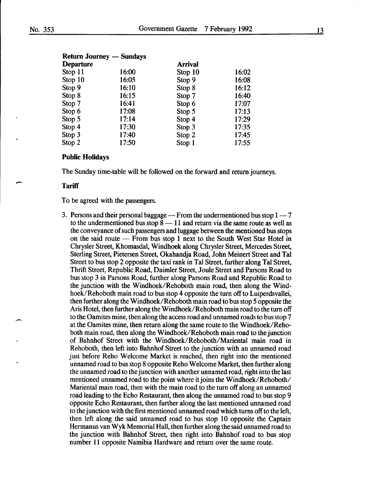| <b>Return Journey — Sundays</b> |       |                |       |  |  |
|---------------------------------|-------|----------------|-------|--|--|
| <b>Departure</b>                |       | <b>Arrival</b> |       |  |  |
| Stop 11                         | 16:00 | Stop 10        | 16:02 |  |  |
| Stop 10                         | 16:05 | Stop 9         | 16:08 |  |  |
| Stop 9                          | 16:10 | Stop 8         | 16:12 |  |  |
| Stop 8                          | 16:15 | Stop 7         | 16:40 |  |  |
| Stop 7                          | 16:41 | Stop 6         | 17:07 |  |  |
| Stop 6                          | 17:08 | Stop 5         | 17:13 |  |  |
| Stop 5                          | 17:14 | Stop 4         | 17:29 |  |  |
| Stop 4                          | 17:30 | Stop 3         | 17:35 |  |  |
| Stop 3                          | 17:40 | Stop $2$       | 17:45 |  |  |
| Stop 2                          | 17:50 | Stop 1         | 17:55 |  |  |

#### Public Holidays

The Sunday time-table will be followed on the forward and return journeys.

#### **Tariff**

 $\overline{\phantom{a}}$ 

To be agreed with the passengers.

3. Persons and their personal baggage  $-$  From the undermentioned bus stop 1  $-7$ to the undermentioned bus stop  $8 - 11$  and return via the same route as well as the conveyance of such passengers and luggage between the mentioned bus stops on the said route - From bus stop 1 next to the South West Star Hotel in Chrysler Street, Khomasdal, Windhoek along Chrysler Street, Mercedes Street, Sterling Street, Pietersen Street, Okahandja Road, John Meinert Street and Tal Street to bus stop 2 opposite the taxi rank in Tal Street, further along Tal Street, Thrift Street, Republic Road, Daimler Street, Joule Street and Parsons Road to bus stop 3 in Parsons Road, further along Parsons Road and Republic Road to the junction with the Windhoek/Rehoboth main road, then along the Windhoek/Rehoboth main road to bus stop 4 opposite the turn off to Luiperdsvallei, then further along the Windhoek/Rehoboth main road to bus stop 5 opposite the Aris Hotel, then further along the Windhoek/Rehoboth main road to the tum off to the Oamites mine, then along the access road and unnamed roads to bus stop 7 at the Oamites mine, then return along the same route to the Windhoek/Rehoboth main road, then along the Windhoek/Rehoboth main road to the junction of Bahnhof Street with the Windhoek/Rehoboth/Mariental main road in Rehoboth, then left into Bahnhof Street to the junction with an unnamed road just before Reho Welcome Market is reached, then right into the mentioned unnamed road to bus stop 8 opposite Reho Welcome Market, then further along the unnamed road to the junction with another unnamed road, right into the last mentioned unnamed road to the point where it joins the Windhoek/Rehoboth/ Mariental main road, then with the main road to the turn off along an unnamed road leading to the Echo Restaurant, then along the unnamed road to bus stop 9 opposite Echo Restaurant, then further along the last mentioned unnamed road to the junction with the first mentioned unnamed road which turns off to the left, then left along the said unnamed road to bus stop 10 opposite the Captain Hermanus van Wyk Memorial Hall, then further along the said unnamed road to the junction with Bahnhof Street, then right into Bahnhof road to bus stop number 11 opposite Namibia Hardware and return over the same route.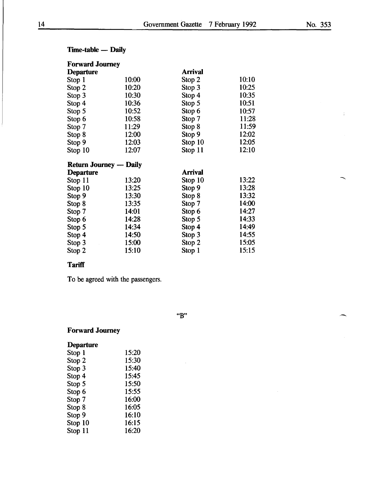ś,

| <b>Time-table — Daily</b> |  |
|---------------------------|--|
|---------------------------|--|

| <b>Forward Journey</b>        |       |                |       |
|-------------------------------|-------|----------------|-------|
| <b>Departure</b>              |       | <b>Arrival</b> |       |
| Stop 1                        | 10:00 | Stop 2         | 10:10 |
| Stop 2                        | 10:20 | Stop 3         | 10:25 |
| Stop 3                        | 10:30 | Stop 4         | 10:35 |
| Stop 4                        | 10:36 | Stop 5         | 10:51 |
| Stop 5                        | 10:52 | Stop 6         | 10:57 |
| Stop 6                        | 10:58 | Stop 7         | 11:28 |
| Stop 7                        | 11:29 | Stop 8         | 11:59 |
| Stop 8                        | 12:00 | Stop 9         | 12:02 |
| Stop 9                        | 12:03 | Stop 10        | 12:05 |
| Stop 10                       | 12:07 | Stop 11        | 12:10 |
| <b>Return Journey — Daily</b> |       |                |       |
| <b>Departure</b>              |       | <b>Arrival</b> |       |
| Stop 11                       | 13:20 | Stop 10        | 13:22 |
| Stop 10                       | 13:25 | Stop 9         | 13:28 |
| Stop 9                        | 13:30 | Stop 8         | 13:32 |
| Stop 8                        | 13:35 | Stop 7         | 14:00 |
| Stop 7                        | 14:01 | Stop 6         | 14:27 |
| Stop 6                        | 14:28 | Stop 5         | 14:33 |
| Stop 5                        | 14:34 | Stop 4         | 14:49 |
| Stop 4                        | 14:50 | Stop 3         | 14:55 |
| Stop 3                        | 15:00 | Stop 2         | 15:05 |
| Stop 2                        | 15:10 | Stop 1         | 15:15 |
|                               |       |                |       |

### **Tariff**

To be agreed with the passengers.

"B"

### Forward Journey

| <b>Departure</b> |       |
|------------------|-------|
| Stop 1           | 15:20 |
| Stop 2           | 15:30 |
| Stop 3           | 15:40 |
| Stop 4           | 15:45 |
| Stop 5           | 15:50 |
| Stop 6           | 15:55 |
| Stop 7           | 16:00 |
| Stop 8           | 16:05 |
| Stop 9           | 16:10 |
| Stop 10          | 16:15 |
| Stop 11          | 16:20 |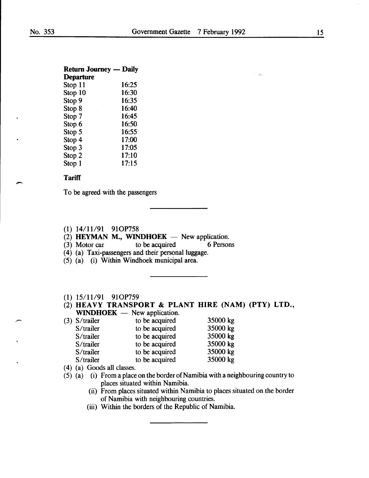$\overline{\phantom{a}}$ 

#### Return Journey - Daily

| <b>Departure</b> |       |
|------------------|-------|
| Stop 11          | 16:25 |
| Stop 10          | 16:30 |
| Stop 9           | 16:35 |
| Stop 8           | 16:40 |
| Stop 7           | 16:45 |
| Stop 6           | 16:50 |
| Stop 5           | 16:55 |
| Stop 4           | 17:00 |
| Stop 3           | 17:05 |
| Stop 2           | 17:10 |
| Stop 1           | 17:15 |

#### **Tariff**

To be agreed with the passengers

#### (1) 14/11/91 91OP758

(2) **HEYMAN M., WINDHOEK**  $-$  New application.<br>(3) Motor car to be acquired 6 Persons

 $(3)$  Motor car

- (4) (a) Taxi-passengers and their personal luggage.
- (5) (a) (i) Within Windhoek municipal area.
- (1) 15/11/91 910P759

|  | (2) HEAVY TRANSPORT & PLANT HIRE (NAM) (PTY) LTD., |  |  |  |
|--|----------------------------------------------------|--|--|--|
|  | $WINDHOEK$ — New application.                      |  |  |  |

| $(3)$ S/trailer | to be acquired | 35000 kg |
|-----------------|----------------|----------|
| S/trailer       | to be acquired | 35000 kg |
| S/trailer       | to be acquired | 35000 kg |
| S/trailer       | to be acquired | 35000 kg |
| S/trailer       | to be acquired | 35000 kg |
| S/trailer       | to be acquired | 35000 kg |
|                 |                |          |

- ( 4) (a) Goods all classes.
- (5) (a) (i) From a place on the border of Namibia with a neighbouring country to places situated within Namibia.
	- (ii) From places situated within Namibia to places situated on the border of Namibia with neighbouring countries.
	- (iii) Within the borders of the Republic of Namibia.

 $\sim 10^{11}$   $M_{\rm X,0}$